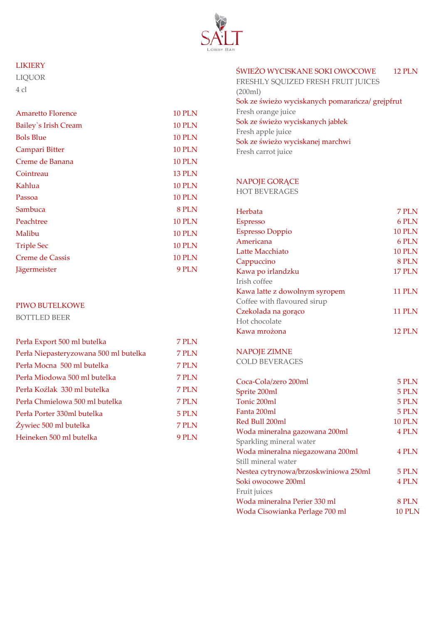

### LIKIERY

LIQUOR 4 cl

| Amaretto Florence           | <b>10 PLN</b> |
|-----------------------------|---------------|
| <b>Bailey's Irish Cream</b> | <b>10 PLN</b> |
| <b>Bols Blue</b>            | <b>10 PLN</b> |
| Campari Bitter              | <b>10 PLN</b> |
| Creme de Banana             | <b>10 PLN</b> |
| Cointreau                   | <b>13 PLN</b> |
| Kahlua                      | <b>10 PLN</b> |
| Passoa                      | <b>10 PLN</b> |
| Sambuca                     | 8 PLN         |
| Peachtree                   | <b>10 PLN</b> |
| Malibu                      | <b>10 PLN</b> |
| <b>Triple Sec</b>           | <b>10 PLN</b> |
| <b>Creme de Cassis</b>      | <b>10 PLN</b> |
| Jägermeister                | 9 PLN         |

## PIWO BUTELKOWE

BOTTLED BEER

| 7 PLN |
|-------|
| 7 PLN |
| 7 PLN |
| 7 PLN |
| 7 PLN |
| 7 PLN |
| 5 PLN |
| 7 PLN |
| 9 PLN |
|       |

## ŚWIEŻO WYCISKANE SOKI OWOCOWE 12 PLN

FRESHLY SQUIZED FRESH FRUIT JUICES (200ml) Sok ze świeżo wyciskanych pomarańcza/ grejpfrut Fresh orange juice Sok ze świeżo wyciskanych jabłek Fresh apple juice Sok ze świeżo wyciskanej marchwi Fresh carrot juice

#### NAPOJE GORĄCE

HOT BEVERAGES

| Herbata                              | 7 PLN         |
|--------------------------------------|---------------|
| <b>Espresso</b>                      | 6 PLN         |
| <b>Espresso Doppio</b>               | <b>10 PLN</b> |
| Americana                            | 6 PLN         |
| Latte Macchiato                      | <b>10 PLN</b> |
| Cappuccino                           | 8 PLN         |
| Kawa po irlandzku                    | 17 PLN        |
| Irish coffee                         |               |
| Kawa latte z dowolnym syropem        | <b>11 PLN</b> |
| Coffee with flavoured sirup          |               |
| Czekolada na gorąco                  | <b>11 PLN</b> |
| Hot chocolate                        |               |
| Kawa mrożona                         | <b>12 PLN</b> |
|                                      |               |
| <b>NAPOJE ZIMNE</b>                  |               |
| <b>COLD BEVERAGES</b>                |               |
|                                      |               |
| Coca-Cola/zero 200ml                 | 5 PLN         |
| Sprite 200ml                         | 5 PLN         |
| Tonic 200ml                          | 5 PLN         |
| Fanta 200ml                          | 5 PLN         |
| Red Bull 200ml                       | <b>10 PLN</b> |
| Woda mineralna gazowana 200ml        | 4 PLN         |
| Sparkling mineral water              |               |
| Woda mineralna niegazowana 200ml     | 4 PLN         |
| Still mineral water                  |               |
| Nestea cytrynowa/brzoskwiniowa 250ml | 5 PLN         |
| Soki owocowe 200ml                   | 4 PLN         |
| Fruit juices                         |               |
| Woda mineralna Perier 330 ml         | 8 PLN         |
| Woda Cisowianka Perlage 700 ml       | <b>10 PLN</b> |